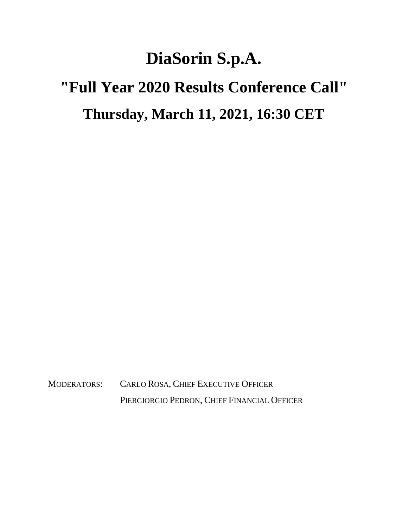## **DiaSorin S.p.A.**

## **"Full Year 2020 Results Conference Call" Thursday, March 11, 2021, 16:30 CET**

MODERATORS: CARLO ROSA, CHIEF EXECUTIVE OFFICER PIERGIORGIO PEDRON, CHIEF FINANCIAL OFFICER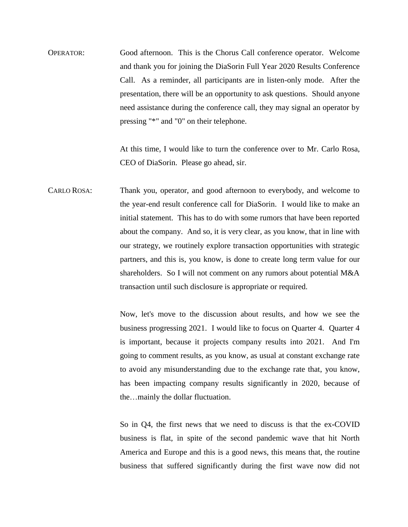OPERATOR: Good afternoon. This is the Chorus Call conference operator. Welcome and thank you for joining the DiaSorin Full Year 2020 Results Conference Call. As a reminder, all participants are in listen-only mode. After the presentation, there will be an opportunity to ask questions. Should anyone need assistance during the conference call, they may signal an operator by pressing "\*" and "0" on their telephone.

> At this time, I would like to turn the conference over to Mr. Carlo Rosa, CEO of DiaSorin. Please go ahead, sir.

CARLO ROSA: Thank you, operator, and good afternoon to everybody, and welcome to the year-end result conference call for DiaSorin. I would like to make an initial statement. This has to do with some rumors that have been reported about the company. And so, it is very clear, as you know, that in line with our strategy, we routinely explore transaction opportunities with strategic partners, and this is, you know, is done to create long term value for our shareholders. So I will not comment on any rumors about potential M&A transaction until such disclosure is appropriate or required.

> Now, let's move to the discussion about results, and how we see the business progressing 2021. I would like to focus on Quarter 4. Quarter 4 is important, because it projects company results into 2021. And I'm going to comment results, as you know, as usual at constant exchange rate to avoid any misunderstanding due to the exchange rate that, you know, has been impacting company results significantly in 2020, because of the…mainly the dollar fluctuation.

> So in Q4, the first news that we need to discuss is that the ex**-**COVID business is flat, in spite of the second pandemic wave that hit North America and Europe and this is a good news, this means that, the routine business that suffered significantly during the first wave now did not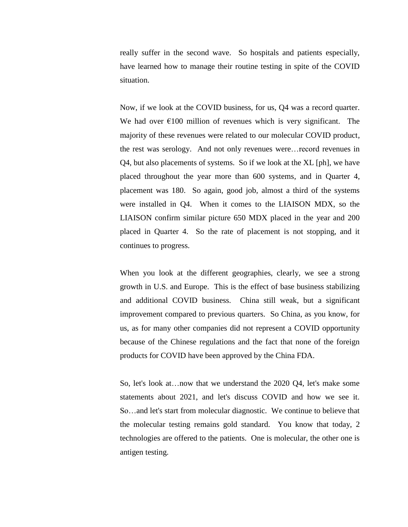really suffer in the second wave. So hospitals and patients especially, have learned how to manage their routine testing in spite of the COVID situation.

Now, if we look at the COVID business, for us, Q4 was a record quarter. We had over  $\epsilon$ 100 million of revenues which is very significant. The majority of these revenues were related to our molecular COVID product, the rest was serology. And not only revenues were…record revenues in Q4, but also placements of systems. So if we look at the XL [ph], we have placed throughout the year more than 600 systems, and in Quarter 4, placement was 180. So again, good job, almost a third of the systems were installed in Q4. When it comes to the LIAISON MDX, so the LIAISON confirm similar picture 650 MDX placed in the year and 200 placed in Quarter 4. So the rate of placement is not stopping, and it continues to progress.

When you look at the different geographies, clearly, we see a strong growth in U.S. and Europe. This is the effect of base business stabilizing and additional COVID business. China still weak, but a significant improvement compared to previous quarters. So China, as you know, for us, as for many other companies did not represent a COVID opportunity because of the Chinese regulations and the fact that none of the foreign products for COVID have been approved by the China FDA.

So, let's look at…now that we understand the 2020 Q4, let's make some statements about 2021, and let's discuss COVID and how we see it. So…and let's start from molecular diagnostic. We continue to believe that the molecular testing remains gold standard. You know that today, 2 technologies are offered to the patients. One is molecular, the other one is antigen testing.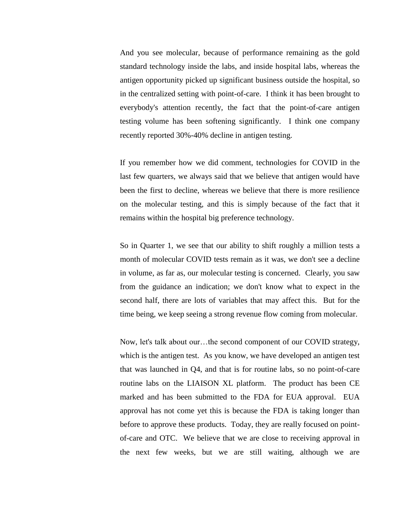And you see molecular, because of performance remaining as the gold standard technology inside the labs, and inside hospital labs, whereas the antigen opportunity picked up significant business outside the hospital, so in the centralized setting with point-of-care. I think it has been brought to everybody's attention recently, the fact that the point-of-care antigen testing volume has been softening significantly. I think one company recently reported 30%-40% decline in antigen testing.

If you remember how we did comment, technologies for COVID in the last few quarters, we always said that we believe that antigen would have been the first to decline, whereas we believe that there is more resilience on the molecular testing, and this is simply because of the fact that it remains within the hospital big preference technology.

So in Quarter 1, we see that our ability to shift roughly a million tests a month of molecular COVID tests remain as it was, we don't see a decline in volume, as far as, our molecular testing is concerned. Clearly, you saw from the guidance an indication; we don't know what to expect in the second half, there are lots of variables that may affect this. But for the time being, we keep seeing a strong revenue flow coming from molecular.

Now, let's talk about our…the second component of our COVID strategy, which is the antigen test. As you know, we have developed an antigen test that was launched in Q4, and that is for routine labs, so no point-of-care routine labs on the LIAISON XL platform. The product has been CE marked and has been submitted to the FDA for EUA approval. EUA approval has not come yet this is because the FDA is taking longer than before to approve these products. Today, they are really focused on pointof-care and OTC. We believe that we are close to receiving approval in the next few weeks, but we are still waiting, although we are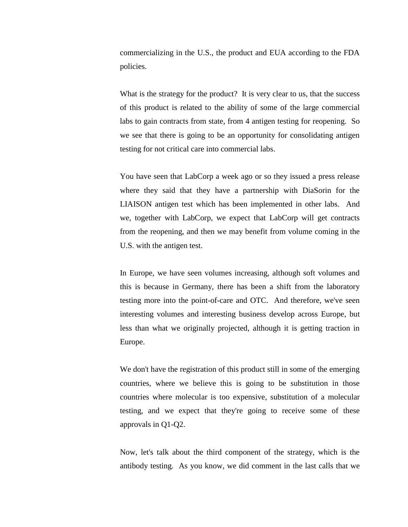commercializing in the U.S., the product and EUA according to the FDA policies.

What is the strategy for the product? It is very clear to us, that the success of this product is related to the ability of some of the large commercial labs to gain contracts from state, from 4 antigen testing for reopening. So we see that there is going to be an opportunity for consolidating antigen testing for not critical care into commercial labs.

You have seen that LabCorp a week ago or so they issued a press release where they said that they have a partnership with DiaSorin for the LIAISON antigen test which has been implemented in other labs. And we, together with LabCorp, we expect that LabCorp will get contracts from the reopening, and then we may benefit from volume coming in the U.S. with the antigen test.

In Europe, we have seen volumes increasing, although soft volumes and this is because in Germany, there has been a shift from the laboratory testing more into the point-of-care and OTC. And therefore, we've seen interesting volumes and interesting business develop across Europe, but less than what we originally projected, although it is getting traction in Europe.

We don't have the registration of this product still in some of the emerging countries, where we believe this is going to be substitution in those countries where molecular is too expensive, substitution of a molecular testing, and we expect that they're going to receive some of these approvals in Q1-Q2.

Now, let's talk about the third component of the strategy, which is the antibody testing. As you know, we did comment in the last calls that we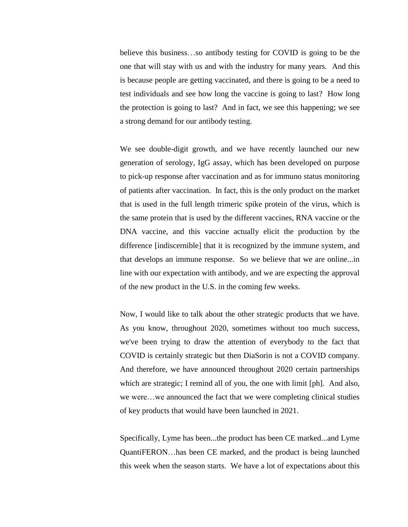believe this business…so antibody testing for COVID is going to be the one that will stay with us and with the industry for many years. And this is because people are getting vaccinated, and there is going to be a need to test individuals and see how long the vaccine is going to last? How long the protection is going to last? And in fact, we see this happening; we see a strong demand for our antibody testing.

We see double-digit growth, and we have recently launched our new generation of serology, IgG assay, which has been developed on purpose to pick-up response after vaccination and as for immuno status monitoring of patients after vaccination. In fact, this is the only product on the market that is used in the full length trimeric spike protein of the virus, which is the same protein that is used by the different vaccines, RNA vaccine or the DNA vaccine, and this vaccine actually elicit the production by the difference [indiscernible] that it is recognized by the immune system, and that develops an immune response. So we believe that we are online...in line with our expectation with antibody, and we are expecting the approval of the new product in the U.S. in the coming few weeks.

Now, I would like to talk about the other strategic products that we have. As you know, throughout 2020, sometimes without too much success, we've been trying to draw the attention of everybody to the fact that COVID is certainly strategic but then DiaSorin is not a COVID company. And therefore, we have announced throughout 2020 certain partnerships which are strategic; I remind all of you, the one with limit [ph]. And also, we were…we announced the fact that we were completing clinical studies of key products that would have been launched in 2021.

Specifically, Lyme has been...the product has been CE marked...and Lyme QuantiFERON…has been CE marked, and the product is being launched this week when the season starts. We have a lot of expectations about this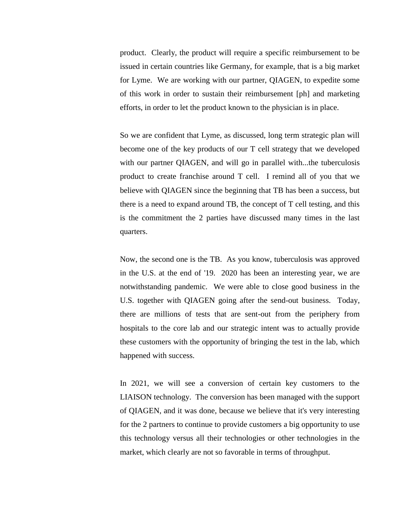product. Clearly, the product will require a specific reimbursement to be issued in certain countries like Germany, for example, that is a big market for Lyme. We are working with our partner, QIAGEN, to expedite some of this work in order to sustain their reimbursement [ph] and marketing efforts, in order to let the product known to the physician is in place.

So we are confident that Lyme, as discussed, long term strategic plan will become one of the key products of our T cell strategy that we developed with our partner QIAGEN, and will go in parallel with...the tuberculosis product to create franchise around T cell. I remind all of you that we believe with QIAGEN since the beginning that TB has been a success, but there is a need to expand around TB, the concept of T cell testing, and this is the commitment the 2 parties have discussed many times in the last quarters.

Now, the second one is the TB. As you know, tuberculosis was approved in the U.S. at the end of '19. 2020 has been an interesting year, we are notwithstanding pandemic. We were able to close good business in the U.S. together with QIAGEN going after the send-out business. Today, there are millions of tests that are sent-out from the periphery from hospitals to the core lab and our strategic intent was to actually provide these customers with the opportunity of bringing the test in the lab, which happened with success.

In 2021, we will see a conversion of certain key customers to the LIAISON technology. The conversion has been managed with the support of QIAGEN, and it was done, because we believe that it's very interesting for the 2 partners to continue to provide customers a big opportunity to use this technology versus all their technologies or other technologies in the market, which clearly are not so favorable in terms of throughput.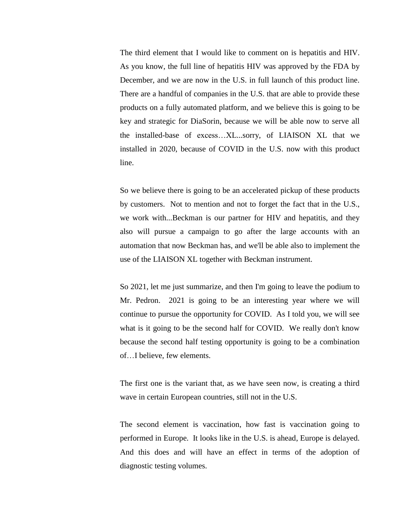The third element that I would like to comment on is hepatitis and HIV. As you know, the full line of hepatitis HIV was approved by the FDA by December, and we are now in the U.S. in full launch of this product line. There are a handful of companies in the U.S. that are able to provide these products on a fully automated platform, and we believe this is going to be key and strategic for DiaSorin, because we will be able now to serve all the installed-base of excess…XL...sorry, of LIAISON XL that we installed in 2020, because of COVID in the U.S. now with this product line.

So we believe there is going to be an accelerated pickup of these products by customers. Not to mention and not to forget the fact that in the U.S., we work with...Beckman is our partner for HIV and hepatitis, and they also will pursue a campaign to go after the large accounts with an automation that now Beckman has, and we'll be able also to implement the use of the LIAISON XL together with Beckman instrument.

So 2021, let me just summarize, and then I'm going to leave the podium to Mr. Pedron. 2021 is going to be an interesting year where we will continue to pursue the opportunity for COVID. As I told you, we will see what is it going to be the second half for COVID. We really don't know because the second half testing opportunity is going to be a combination of…I believe, few elements.

The first one is the variant that, as we have seen now, is creating a third wave in certain European countries, still not in the U.S.

The second element is vaccination, how fast is vaccination going to performed in Europe. It looks like in the U.S. is ahead, Europe is delayed. And this does and will have an effect in terms of the adoption of diagnostic testing volumes.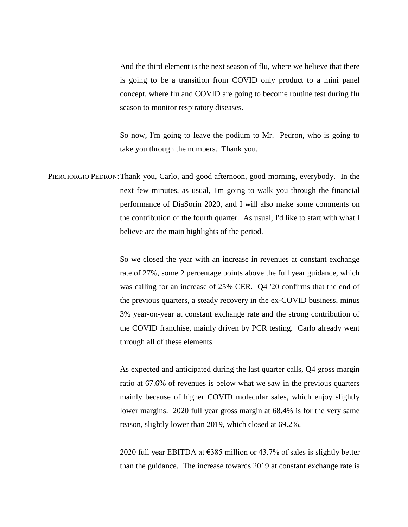And the third element is the next season of flu, where we believe that there is going to be a transition from COVID only product to a mini panel concept, where flu and COVID are going to become routine test during flu season to monitor respiratory diseases.

So now, I'm going to leave the podium to Mr. Pedron, who is going to take you through the numbers. Thank you.

PIERGIORGIO PEDRON:Thank you, Carlo, and good afternoon, good morning, everybody. In the next few minutes, as usual, I'm going to walk you through the financial performance of DiaSorin 2020, and I will also make some comments on the contribution of the fourth quarter. As usual, I'd like to start with what I believe are the main highlights of the period.

> So we closed the year with an increase in revenues at constant exchange rate of 27%, some 2 percentage points above the full year guidance, which was calling for an increase of 25% CER. Q4 '20 confirms that the end of the previous quarters, a steady recovery in the ex-COVID business, minus 3% year-on-year at constant exchange rate and the strong contribution of the COVID franchise, mainly driven by PCR testing. Carlo already went through all of these elements.

> As expected and anticipated during the last quarter calls, Q4 gross margin ratio at 67.6% of revenues is below what we saw in the previous quarters mainly because of higher COVID molecular sales, which enjoy slightly lower margins. 2020 full year gross margin at 68.4% is for the very same reason, slightly lower than 2019, which closed at 69.2%.

> 2020 full year EBITDA at  $\epsilon$ 385 million or 43.7% of sales is slightly better than the guidance. The increase towards 2019 at constant exchange rate is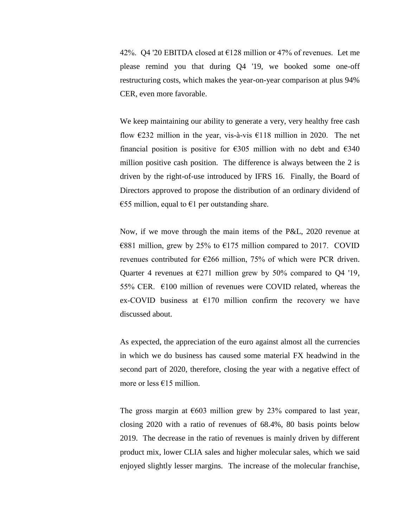42%. Q4 '20 EBITDA closed at  $\epsilon$ 128 million or 47% of revenues. Let me please remind you that during Q4 '19, we booked some one-off restructuring costs, which makes the year-on-year comparison at plus 94% CER, even more favorable.

We keep maintaining our ability to generate a very, very healthy free cash flow  $\epsilon$ 232 million in the year, vis-à-vis  $\epsilon$ 118 million in 2020. The net financial position is positive for  $\epsilon$ 305 million with no debt and  $\epsilon$ 340 million positive cash position. The difference is always between the 2 is driven by the right-of-use introduced by IFRS 16. Finally, the Board of Directors approved to propose the distribution of an ordinary dividend of €55 million, equal to  $€1$  per outstanding share.

Now, if we move through the main items of the P&L, 2020 revenue at  $€881$  million, grew by 25% to  $€175$  million compared to 2017. COVID revenues contributed for €266 million, 75% of which were PCR driven. Quarter 4 revenues at  $E271$  million grew by 50% compared to Q4 '19, 55% CER.  $\epsilon$ 100 million of revenues were COVID related, whereas the ex-COVID business at  $E170$  million confirm the recovery we have discussed about.

As expected, the appreciation of the euro against almost all the currencies in which we do business has caused some material FX headwind in the second part of 2020, therefore, closing the year with a negative effect of more or less  $\epsilon$ 15 million.

The gross margin at  $\epsilon$ 603 million grew by 23% compared to last year, closing 2020 with a ratio of revenues of 68.4%, 80 basis points below 2019. The decrease in the ratio of revenues is mainly driven by different product mix, lower CLIA sales and higher molecular sales, which we said enjoyed slightly lesser margins. The increase of the molecular franchise,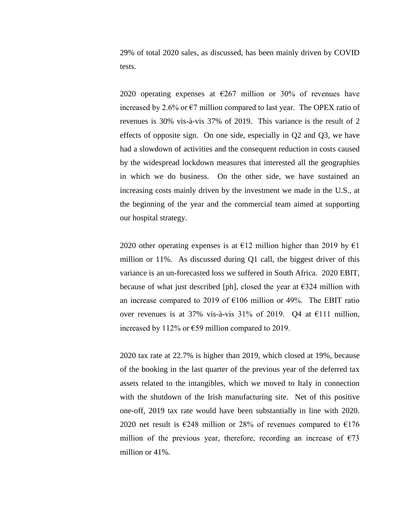29% of total 2020 sales, as discussed, has been mainly driven by COVID tests.

2020 operating expenses at  $\epsilon$ 267 million or 30% of revenues have increased by 2.6% or  $\epsilon$ 7 million compared to last year. The OPEX ratio of revenues is 30% vis-à-vis 37% of 2019. This variance is the result of 2 effects of opposite sign. On one side, especially in Q2 and Q3, we have had a slowdown of activities and the consequent reduction in costs caused by the widespread lockdown measures that interested all the geographies in which we do business. On the other side, we have sustained an increasing costs mainly driven by the investment we made in the U.S., at the beginning of the year and the commercial team aimed at supporting our hospital strategy.

2020 other operating expenses is at  $E12$  million higher than 2019 by  $E1$ million or 11%. As discussed during Q1 call, the biggest driver of this variance is an un-forecasted loss we suffered in South Africa. 2020 EBIT, because of what just described [ph], closed the year at  $\epsilon$ 324 million with an increase compared to 2019 of  $\epsilon$ 106 million or 49%. The EBIT ratio over revenues is at 37% vis-à-vis 31% of 2019. Q4 at €111 million, increased by 112% or  $\epsilon$ 59 million compared to 2019.

2020 tax rate at 22.7% is higher than 2019, which closed at 19%, because of the booking in the last quarter of the previous year of the deferred tax assets related to the intangibles, which we moved to Italy in connection with the shutdown of the Irish manufacturing site. Net of this positive one-off, 2019 tax rate would have been substantially in line with 2020. 2020 net result is  $\epsilon$ 248 million or 28% of revenues compared to  $\epsilon$ 176 million of the previous year, therefore, recording an increase of  $\epsilon$ 73 million or 41%.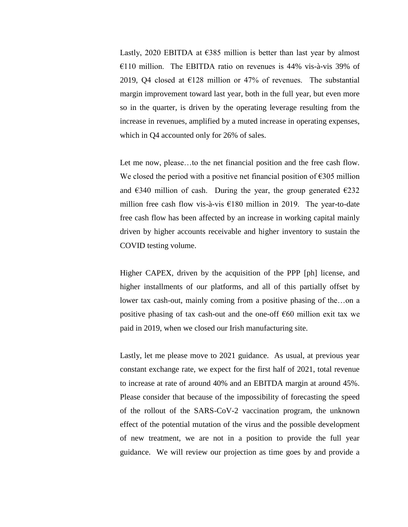Lastly, 2020 EBITDA at  $\epsilon$ 385 million is better than last year by almost  $€110$  million. The EBITDA ratio on revenues is 44% vis-à-vis 39% of 2019, Q4 closed at  $E128$  million or 47% of revenues. The substantial margin improvement toward last year, both in the full year, but even more so in the quarter, is driven by the operating leverage resulting from the increase in revenues, amplified by a muted increase in operating expenses, which in Q4 accounted only for 26% of sales.

Let me now, please…to the net financial position and the free cash flow. We closed the period with a positive net financial position of  $\epsilon$ 305 million and  $\epsilon$ 340 million of cash. During the year, the group generated  $\epsilon$ 232 million free cash flow vis-à-vis  $\epsilon$ 180 million in 2019. The year-to-date free cash flow has been affected by an increase in working capital mainly driven by higher accounts receivable and higher inventory to sustain the COVID testing volume.

Higher CAPEX, driven by the acquisition of the PPP [ph] license, and higher installments of our platforms, and all of this partially offset by lower tax cash-out, mainly coming from a positive phasing of the…on a positive phasing of tax cash-out and the one-off  $\epsilon$ 60 million exit tax we paid in 2019, when we closed our Irish manufacturing site.

Lastly, let me please move to 2021 guidance. As usual, at previous year constant exchange rate, we expect for the first half of 2021, total revenue to increase at rate of around 40% and an EBITDA margin at around 45%. Please consider that because of the impossibility of forecasting the speed of the rollout of the SARS-CoV-2 vaccination program, the unknown effect of the potential mutation of the virus and the possible development of new treatment, we are not in a position to provide the full year guidance. We will review our projection as time goes by and provide a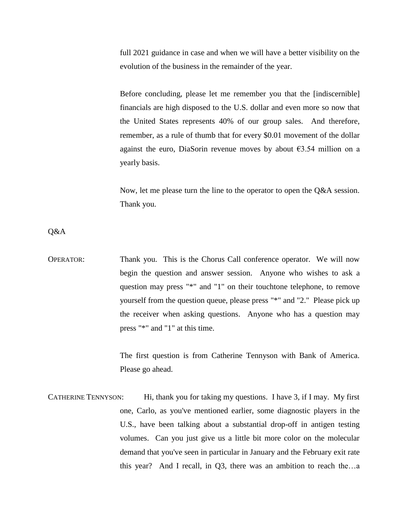full 2021 guidance in case and when we will have a better visibility on the evolution of the business in the remainder of the year.

Before concluding, please let me remember you that the [indiscernible] financials are high disposed to the U.S. dollar and even more so now that the United States represents 40% of our group sales. And therefore, remember, as a rule of thumb that for every \$0.01 movement of the dollar against the euro, DiaSorin revenue moves by about  $\epsilon$ 3.54 million on a yearly basis.

Now, let me please turn the line to the operator to open the Q&A session. Thank you.

Q&A

OPERATOR: Thank you. This is the Chorus Call conference operator. We will now begin the question and answer session. Anyone who wishes to ask a question may press "\*" and "1" on their touchtone telephone, to remove yourself from the question queue, please press "\*" and "2." Please pick up the receiver when asking questions. Anyone who has a question may press "\*" and "1" at this time.

> The first question is from Catherine Tennyson with Bank of America. Please go ahead.

CATHERINE TENNYSON: Hi, thank you for taking my questions. I have 3, if I may. My first one, Carlo, as you've mentioned earlier, some diagnostic players in the U.S., have been talking about a substantial drop-off in antigen testing volumes. Can you just give us a little bit more color on the molecular demand that you've seen in particular in January and the February exit rate this year? And I recall, in Q3, there was an ambition to reach the…a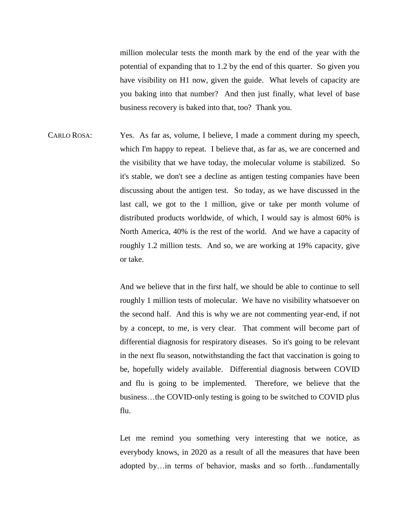million molecular tests the month mark by the end of the year with the potential of expanding that to 1.2 by the end of this quarter. So given you have visibility on H1 now, given the guide. What levels of capacity are you baking into that number? And then just finally, what level of base business recovery is baked into that, too? Thank you.

CARLO ROSA: Yes. As far as, volume, I believe, I made a comment during my speech, which I'm happy to repeat. I believe that, as far as, we are concerned and the visibility that we have today, the molecular volume is stabilized. So it's stable, we don't see a decline as antigen testing companies have been discussing about the antigen test. So today, as we have discussed in the last call, we got to the 1 million, give or take per month volume of distributed products worldwide, of which, I would say is almost 60% is North America, 40% is the rest of the world. And we have a capacity of roughly 1.2 million tests. And so, we are working at 19% capacity, give or take.

> And we believe that in the first half, we should be able to continue to sell roughly 1 million tests of molecular. We have no visibility whatsoever on the second half. And this is why we are not commenting year-end, if not by a concept, to me, is very clear. That comment will become part of differential diagnosis for respiratory diseases. So it's going to be relevant in the next flu season, notwithstanding the fact that vaccination is going to be, hopefully widely available. Differential diagnosis between COVID and flu is going to be implemented. Therefore, we believe that the business…the COVID-only testing is going to be switched to COVID plus flu.

> Let me remind you something very interesting that we notice, as everybody knows, in 2020 as a result of all the measures that have been adopted by…in terms of behavior, masks and so forth…fundamentally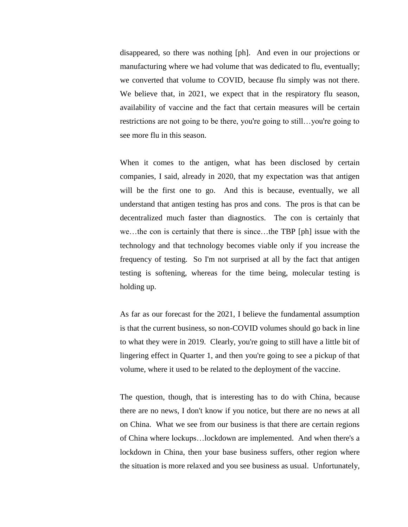disappeared, so there was nothing [ph]. And even in our projections or manufacturing where we had volume that was dedicated to flu, eventually; we converted that volume to COVID, because flu simply was not there. We believe that, in 2021, we expect that in the respiratory flu season, availability of vaccine and the fact that certain measures will be certain restrictions are not going to be there, you're going to still…you're going to see more flu in this season.

When it comes to the antigen, what has been disclosed by certain companies, I said, already in 2020, that my expectation was that antigen will be the first one to go. And this is because, eventually, we all understand that antigen testing has pros and cons. The pros is that can be decentralized much faster than diagnostics. The con is certainly that we…the con is certainly that there is since…the TBP [ph] issue with the technology and that technology becomes viable only if you increase the frequency of testing. So I'm not surprised at all by the fact that antigen testing is softening, whereas for the time being, molecular testing is holding up.

As far as our forecast for the 2021, I believe the fundamental assumption is that the current business, so non-COVID volumes should go back in line to what they were in 2019. Clearly, you're going to still have a little bit of lingering effect in Quarter 1, and then you're going to see a pickup of that volume, where it used to be related to the deployment of the vaccine.

The question, though, that is interesting has to do with China, because there are no news, I don't know if you notice, but there are no news at all on China. What we see from our business is that there are certain regions of China where lockups…lockdown are implemented. And when there's a lockdown in China, then your base business suffers, other region where the situation is more relaxed and you see business as usual. Unfortunately,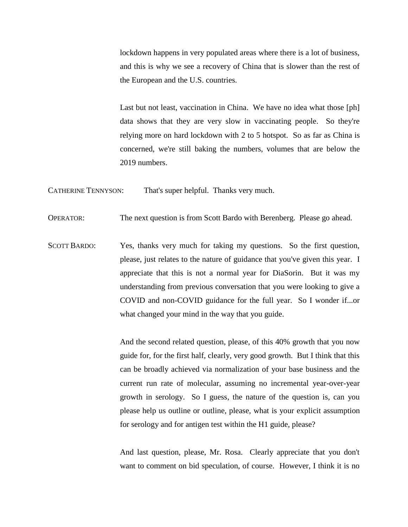lockdown happens in very populated areas where there is a lot of business, and this is why we see a recovery of China that is slower than the rest of the European and the U.S. countries.

Last but not least, vaccination in China. We have no idea what those [ph] data shows that they are very slow in vaccinating people. So they're relying more on hard lockdown with 2 to 5 hotspot. So as far as China is concerned, we're still baking the numbers, volumes that are below the 2019 numbers.

CATHERINE TENNYSON: That's super helpful. Thanks very much.

OPERATOR: The next question is from Scott Bardo with Berenberg. Please go ahead.

SCOTT BARDO: Yes, thanks very much for taking my questions. So the first question, please, just relates to the nature of guidance that you've given this year. I appreciate that this is not a normal year for DiaSorin. But it was my understanding from previous conversation that you were looking to give a COVID and non-COVID guidance for the full year. So I wonder if...or what changed your mind in the way that you guide.

> And the second related question, please, of this 40% growth that you now guide for, for the first half, clearly, very good growth. But I think that this can be broadly achieved via normalization of your base business and the current run rate of molecular, assuming no incremental year-over-year growth in serology. So I guess, the nature of the question is, can you please help us outline or outline, please, what is your explicit assumption for serology and for antigen test within the H1 guide, please?

> And last question, please, Mr. Rosa. Clearly appreciate that you don't want to comment on bid speculation, of course. However, I think it is no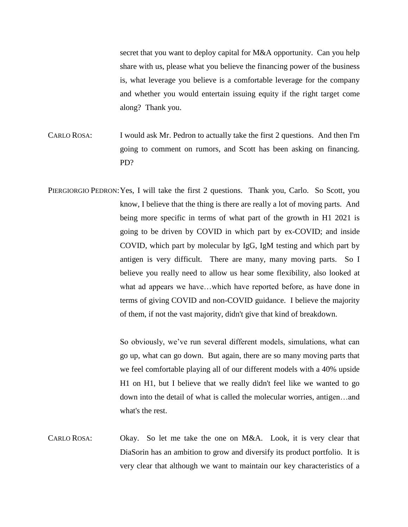secret that you want to deploy capital for M&A opportunity. Can you help share with us, please what you believe the financing power of the business is, what leverage you believe is a comfortable leverage for the company and whether you would entertain issuing equity if the right target come along? Thank you.

- CARLO ROSA: I would ask Mr. Pedron to actually take the first 2 questions. And then I'm going to comment on rumors, and Scott has been asking on financing. PD?
- PIERGIORGIO PEDRON: Yes, I will take the first 2 questions. Thank you, Carlo. So Scott, you know, I believe that the thing is there are really a lot of moving parts. And being more specific in terms of what part of the growth in H1 2021 is going to be driven by COVID in which part by ex-COVID; and inside COVID, which part by molecular by IgG, IgM testing and which part by antigen is very difficult. There are many, many moving parts. So I believe you really need to allow us hear some flexibility, also looked at what ad appears we have…which have reported before, as have done in terms of giving COVID and non-COVID guidance. I believe the majority of them, if not the vast majority, didn't give that kind of breakdown.

So obviously, we've run several different models, simulations, what can go up, what can go down. But again, there are so many moving parts that we feel comfortable playing all of our different models with a 40% upside H1 on H1, but I believe that we really didn't feel like we wanted to go down into the detail of what is called the molecular worries, antigen…and what's the rest.

CARLO ROSA: Okay. So let me take the one on M&A. Look, it is very clear that DiaSorin has an ambition to grow and diversify its product portfolio. It is very clear that although we want to maintain our key characteristics of a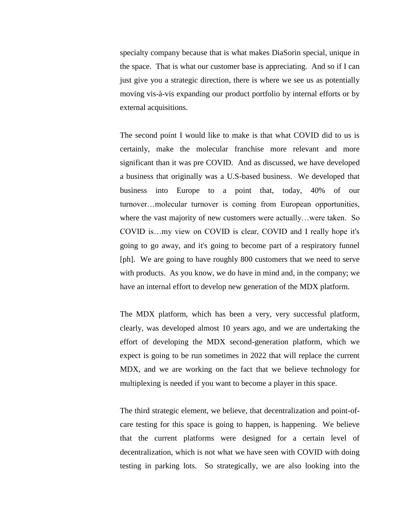specialty company because that is what makes DiaSorin special, unique in the space. That is what our customer base is appreciating. And so if I can just give you a strategic direction, there is where we see us as potentially moving vis-à-vis expanding our product portfolio by internal efforts or by external acquisitions.

The second point I would like to make is that what COVID did to us is certainly, make the molecular franchise more relevant and more significant than it was pre COVID. And as discussed, we have developed a business that originally was a U.S-based business. We developed that business into Europe to a point that, today, 40% of our turnover…molecular turnover is coming from European opportunities, where the vast majority of new customers were actually…were taken. So COVID is…my view on COVID is clear, COVID and I really hope it's going to go away, and it's going to become part of a respiratory funnel [ph]. We are going to have roughly 800 customers that we need to serve with products. As you know, we do have in mind and, in the company; we have an internal effort to develop new generation of the MDX platform.

The MDX platform, which has been a very, very successful platform, clearly, was developed almost 10 years ago, and we are undertaking the effort of developing the MDX second-generation platform, which we expect is going to be run sometimes in 2022 that will replace the current MDX, and we are working on the fact that we believe technology for multiplexing is needed if you want to become a player in this space.

The third strategic element, we believe, that decentralization and point-ofcare testing for this space is going to happen, is happening. We believe that the current platforms were designed for a certain level of decentralization, which is not what we have seen with COVID with doing testing in parking lots. So strategically, we are also looking into the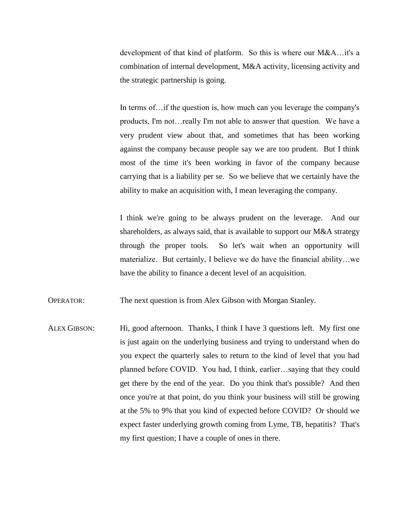development of that kind of platform. So this is where our M&A…it's a combination of internal development, M&A activity, licensing activity and the strategic partnership is going.

In terms of... if the question is, how much can you leverage the company's products, I'm not…really I'm not able to answer that question. We have a very prudent view about that, and sometimes that has been working against the company because people say we are too prudent. But I think most of the time it's been working in favor of the company because carrying that is a liability per se. So we believe that we certainly have the ability to make an acquisition with, I mean leveraging the company.

I think we're going to be always prudent on the leverage. And our shareholders, as always said, that is available to support our M&A strategy through the proper tools. So let's wait when an opportunity will materialize. But certainly, I believe we do have the financial ability…we have the ability to finance a decent level of an acquisition.

OPERATOR: The next question is from Alex Gibson with Morgan Stanley.

ALEX GIBSON: Hi, good afternoon. Thanks, I think I have 3 questions left. My first one is just again on the underlying business and trying to understand when do you expect the quarterly sales to return to the kind of level that you had planned before COVID. You had, I think, earlier…saying that they could get there by the end of the year. Do you think that's possible? And then once you're at that point, do you think your business will still be growing at the 5% to 9% that you kind of expected before COVID? Or should we expect faster underlying growth coming from Lyme, TB, hepatitis? That's my first question; I have a couple of ones in there.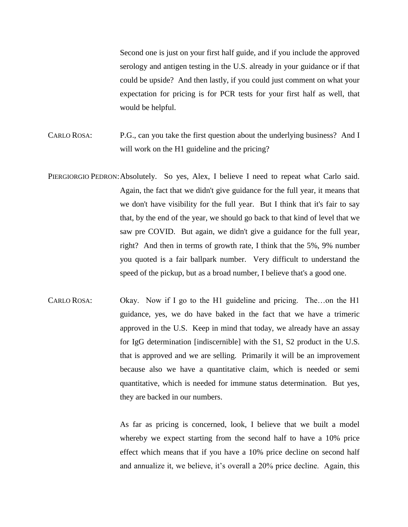Second one is just on your first half guide, and if you include the approved serology and antigen testing in the U.S. already in your guidance or if that could be upside? And then lastly, if you could just comment on what your expectation for pricing is for PCR tests for your first half as well, that would be helpful.

- CARLO ROSA: P.G., can you take the first question about the underlying business? And I will work on the H1 guideline and the pricing?
- PIERGIORGIO PEDRON: Absolutely. So yes, Alex, I believe I need to repeat what Carlo said. Again, the fact that we didn't give guidance for the full year, it means that we don't have visibility for the full year. But I think that it's fair to say that, by the end of the year, we should go back to that kind of level that we saw pre COVID. But again, we didn't give a guidance for the full year, right? And then in terms of growth rate, I think that the 5%, 9% number you quoted is a fair ballpark number. Very difficult to understand the speed of the pickup, but as a broad number, I believe that's a good one.
- CARLO ROSA: Okay. Now if I go to the H1 guideline and pricing. The…on the H1 guidance, yes, we do have baked in the fact that we have a trimeric approved in the U.S. Keep in mind that today, we already have an assay for IgG determination [indiscernible] with the S1, S2 product in the U.S. that is approved and we are selling. Primarily it will be an improvement because also we have a quantitative claim, which is needed or semi quantitative, which is needed for immune status determination. But yes, they are backed in our numbers.

As far as pricing is concerned, look, I believe that we built a model whereby we expect starting from the second half to have a 10% price effect which means that if you have a 10% price decline on second half and annualize it, we believe, it's overall a 20% price decline. Again, this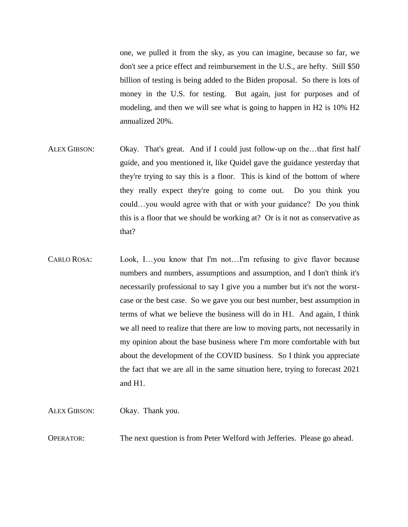one, we pulled it from the sky, as you can imagine, because so far, we don't see a price effect and reimbursement in the U.S., are hefty. Still \$50 billion of testing is being added to the Biden proposal. So there is lots of money in the U.S. for testing. But again, just for purposes and of modeling, and then we will see what is going to happen in H2 is 10% H2 annualized 20%.

- ALEX GIBSON: Okay. That's great. And if I could just follow-up on the...that first half guide, and you mentioned it, like Quidel gave the guidance yesterday that they're trying to say this is a floor. This is kind of the bottom of where they really expect they're going to come out. Do you think you could…you would agree with that or with your guidance? Do you think this is a floor that we should be working at? Or is it not as conservative as that?
- CARLO ROSA: Look, I...you know that I'm not...I'm refusing to give flavor because numbers and numbers, assumptions and assumption, and I don't think it's necessarily professional to say I give you a number but it's not the worstcase or the best case. So we gave you our best number, best assumption in terms of what we believe the business will do in H1. And again, I think we all need to realize that there are low to moving parts, not necessarily in my opinion about the base business where I'm more comfortable with but about the development of the COVID business. So I think you appreciate the fact that we are all in the same situation here, trying to forecast 2021 and H1.

ALEX GIBSON: Okay. Thank you. OPERATOR: The next question is from Peter Welford with Jefferies. Please go ahead.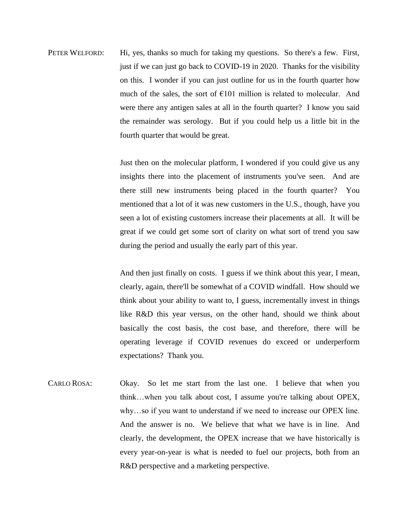PETER WELFORD: Hi, yes, thanks so much for taking my questions. So there's a few. First, just if we can just go back to COVID-19 in 2020. Thanks for the visibility on this. I wonder if you can just outline for us in the fourth quarter how much of the sales, the sort of  $E101$  million is related to molecular. And were there any antigen sales at all in the fourth quarter? I know you said the remainder was serology. But if you could help us a little bit in the fourth quarter that would be great.

> Just then on the molecular platform, I wondered if you could give us any insights there into the placement of instruments you've seen. And are there still new instruments being placed in the fourth quarter? You mentioned that a lot of it was new customers in the U.S., though, have you seen a lot of existing customers increase their placements at all. It will be great if we could get some sort of clarity on what sort of trend you saw during the period and usually the early part of this year.

> And then just finally on costs. I guess if we think about this year, I mean, clearly, again, there'll be somewhat of a COVID windfall. How should we think about your ability to want to, I guess, incrementally invest in things like R&D this year versus, on the other hand, should we think about basically the cost basis, the cost base, and therefore, there will be operating leverage if COVID revenues do exceed or underperform expectations? Thank you.

CARLO ROSA: Okay. So let me start from the last one. I believe that when you think…when you talk about cost, I assume you're talking about OPEX, why…so if you want to understand if we need to increase our OPEX line. And the answer is no. We believe that what we have is in line. And clearly, the development, the OPEX increase that we have historically is every year-on-year is what is needed to fuel our projects, both from an R&D perspective and a marketing perspective.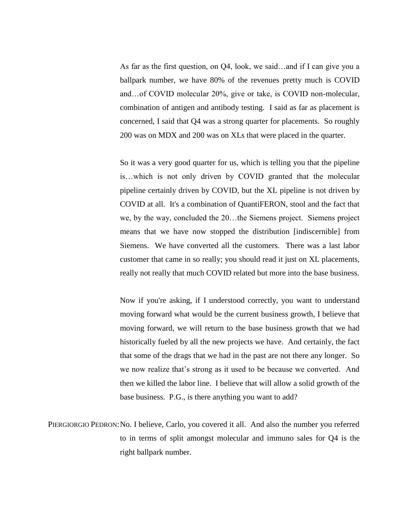As far as the first question, on Q4, look, we said…and if I can give you a ballpark number, we have 80% of the revenues pretty much is COVID and…of COVID molecular 20%, give or take, is COVID non-molecular, combination of antigen and antibody testing. I said as far as placement is concerned, I said that Q4 was a strong quarter for placements. So roughly 200 was on MDX and 200 was on XLs that were placed in the quarter.

So it was a very good quarter for us, which is telling you that the pipeline is…which is not only driven by COVID granted that the molecular pipeline certainly driven by COVID, but the XL pipeline is not driven by COVID at all. It's a combination of QuantiFERON, stool and the fact that we, by the way, concluded the 20…the Siemens project. Siemens project means that we have now stopped the distribution [indiscernible] from Siemens. We have converted all the customers. There was a last labor customer that came in so really; you should read it just on XL placements, really not really that much COVID related but more into the base business.

Now if you're asking, if I understood correctly, you want to understand moving forward what would be the current business growth, I believe that moving forward, we will return to the base business growth that we had historically fueled by all the new projects we have. And certainly, the fact that some of the drags that we had in the past are not there any longer. So we now realize that's strong as it used to be because we converted. And then we killed the labor line. I believe that will allow a solid growth of the base business. P.G., is there anything you want to add?

PIERGIORGIO PEDRON: No. I believe, Carlo, you covered it all. And also the number you referred to in terms of split amongst molecular and immuno sales for Q4 is the right ballpark number.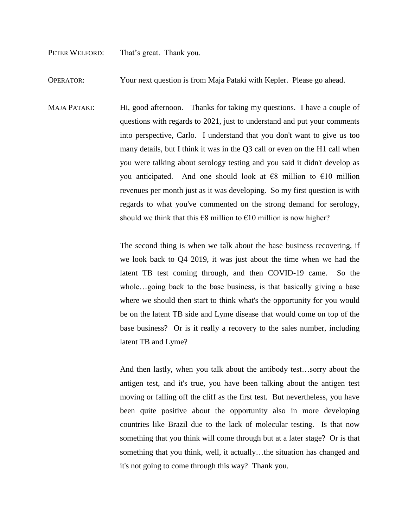PETER WELFORD: That's great. Thank you.

OPERATOR: Your next question is from Maja Pataki with Kepler. Please go ahead.

MAJA PATAKI: Hi, good afternoon. Thanks for taking my questions. I have a couple of questions with regards to 2021, just to understand and put your comments into perspective, Carlo. I understand that you don't want to give us too many details, but I think it was in the Q3 call or even on the H1 call when you were talking about serology testing and you said it didn't develop as you anticipated. And one should look at  $\epsilon$ 8 million to  $\epsilon$ 10 million revenues per month just as it was developing. So my first question is with regards to what you've commented on the strong demand for serology, should we think that this  $\epsilon$ 8 million to  $\epsilon$ 10 million is now higher?

> The second thing is when we talk about the base business recovering, if we look back to Q4 2019, it was just about the time when we had the latent TB test coming through, and then COVID-19 came. So the whole…going back to the base business, is that basically giving a base where we should then start to think what's the opportunity for you would be on the latent TB side and Lyme disease that would come on top of the base business? Or is it really a recovery to the sales number, including latent TB and Lyme?

> And then lastly, when you talk about the antibody test…sorry about the antigen test, and it's true, you have been talking about the antigen test moving or falling off the cliff as the first test. But nevertheless, you have been quite positive about the opportunity also in more developing countries like Brazil due to the lack of molecular testing. Is that now something that you think will come through but at a later stage? Or is that something that you think, well, it actually...the situation has changed and it's not going to come through this way? Thank you.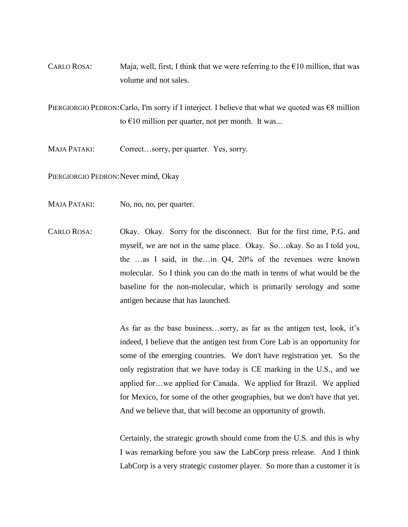CARLO ROSA: Maja, well, first, I think that we were referring to the  $\epsilon$ 10 million, that was volume and not sales.

PIERGIORGIO PEDRON: Carlo, I'm sorry if I interject. I believe that what we quoted was  $€8$  million to  $\epsilon$ 10 million per quarter, not per month. It was...

MAJA PATAKI: Correct…sorry, per quarter. Yes, sorry.

PIERGIORGIO PEDRON: Never mind, Okay

- MAJA PATAKI: No, no, no, per quarter.
- CARLO ROSA: Okay. Okay. Sorry for the disconnect. But for the first time, P.G. and myself, we are not in the same place. Okay. So…okay. So as I told you, the …as I said, in the…in Q4, 20% of the revenues were known molecular. So I think you can do the math in terms of what would be the baseline for the non-molecular, which is primarily serology and some antigen because that has launched.

As far as the base business…sorry, as far as the antigen test, look, it's indeed, I believe that the antigen test from Core Lab is an opportunity for some of the emerging countries. We don't have registration yet. So the only registration that we have today is CE marking in the U.S., and we applied for…we applied for Canada. We applied for Brazil. We applied for Mexico, for some of the other geographies, but we don't have that yet. And we believe that, that will become an opportunity of growth.

Certainly, the strategic growth should come from the U.S. and this is why I was remarking before you saw the LabCorp press release. And I think LabCorp is a very strategic customer player. So more than a customer it is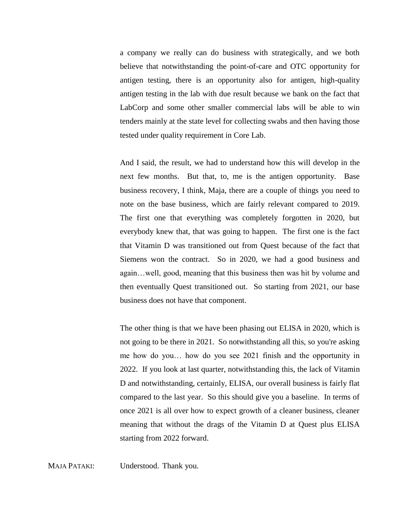a company we really can do business with strategically, and we both believe that notwithstanding the point-of-care and OTC opportunity for antigen testing, there is an opportunity also for antigen, high-quality antigen testing in the lab with due result because we bank on the fact that LabCorp and some other smaller commercial labs will be able to win tenders mainly at the state level for collecting swabs and then having those tested under quality requirement in Core Lab.

And I said, the result, we had to understand how this will develop in the next few months. But that, to, me is the antigen opportunity. Base business recovery, I think, Maja, there are a couple of things you need to note on the base business, which are fairly relevant compared to 2019. The first one that everything was completely forgotten in 2020, but everybody knew that, that was going to happen. The first one is the fact that Vitamin D was transitioned out from Quest because of the fact that Siemens won the contract. So in 2020, we had a good business and again…well, good, meaning that this business then was hit by volume and then eventually Quest transitioned out. So starting from 2021, our base business does not have that component.

The other thing is that we have been phasing out ELISA in 2020, which is not going to be there in 2021. So notwithstanding all this, so you're asking me how do you… how do you see 2021 finish and the opportunity in 2022. If you look at last quarter, notwithstanding this, the lack of Vitamin D and notwithstanding, certainly, ELISA, our overall business is fairly flat compared to the last year. So this should give you a baseline. In terms of once 2021 is all over how to expect growth of a cleaner business, cleaner meaning that without the drags of the Vitamin D at Quest plus ELISA starting from 2022 forward.

MAJA PATAKI: Understood. Thank you.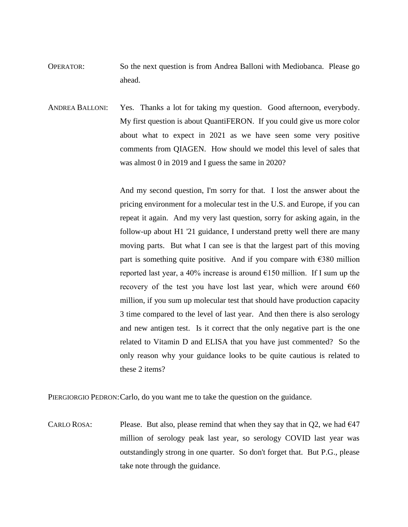- OPERATOR: So the next question is from Andrea Balloni with Mediobanca. Please go ahead.
- ANDREA BALLONI: Yes. Thanks a lot for taking my question. Good afternoon, everybody. My first question is about QuantiFERON. If you could give us more color about what to expect in 2021 as we have seen some very positive comments from QIAGEN. How should we model this level of sales that was almost 0 in 2019 and I guess the same in 2020?

And my second question, I'm sorry for that. I lost the answer about the pricing environment for a molecular test in the U.S. and Europe, if you can repeat it again. And my very last question, sorry for asking again, in the follow-up about H1 '21 guidance, I understand pretty well there are many moving parts. But what I can see is that the largest part of this moving part is something quite positive. And if you compare with  $\epsilon$ 380 million reported last year, a 40% increase is around  $\epsilon$ 150 million. If I sum up the recovery of the test you have lost last year, which were around  $660$ million, if you sum up molecular test that should have production capacity 3 time compared to the level of last year. And then there is also serology and new antigen test. Is it correct that the only negative part is the one related to Vitamin D and ELISA that you have just commented? So the only reason why your guidance looks to be quite cautious is related to these 2 items?

PIERGIORGIO PEDRON:Carlo, do you want me to take the question on the guidance.

CARLO ROSA: Please. But also, please remind that when they say that in Q2, we had  $\epsilon$ 47 million of serology peak last year, so serology COVID last year was outstandingly strong in one quarter. So don't forget that. But P.G., please take note through the guidance.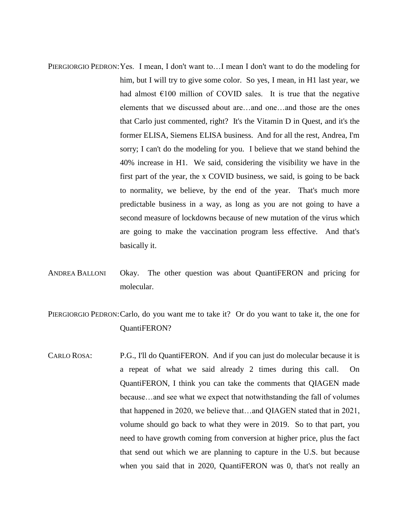- PIERGIORGIO PEDRON:Yes. I mean, I don't want to…I mean I don't want to do the modeling for him, but I will try to give some color. So yes, I mean, in H1 last year, we had almost  $\epsilon$ 100 million of COVID sales. It is true that the negative elements that we discussed about are…and one…and those are the ones that Carlo just commented, right? It's the Vitamin D in Quest, and it's the former ELISA, Siemens ELISA business. And for all the rest, Andrea, I'm sorry; I can't do the modeling for you. I believe that we stand behind the 40% increase in H1. We said, considering the visibility we have in the first part of the year, the x COVID business, we said, is going to be back to normality, we believe, by the end of the year. That's much more predictable business in a way, as long as you are not going to have a second measure of lockdowns because of new mutation of the virus which are going to make the vaccination program less effective. And that's basically it.
- ANDREA BALLONI Okay. The other question was about QuantiFERON and pricing for molecular.
- PIERGIORGIO PEDRON: Carlo, do you want me to take it? Or do you want to take it, the one for QuantiFERON?
- CARLO ROSA: P.G., I'll do QuantiFERON. And if you can just do molecular because it is a repeat of what we said already 2 times during this call. On QuantiFERON, I think you can take the comments that QIAGEN made because…and see what we expect that notwithstanding the fall of volumes that happened in 2020, we believe that…and QIAGEN stated that in 2021, volume should go back to what they were in 2019. So to that part, you need to have growth coming from conversion at higher price, plus the fact that send out which we are planning to capture in the U.S. but because when you said that in 2020, QuantiFERON was 0, that's not really an